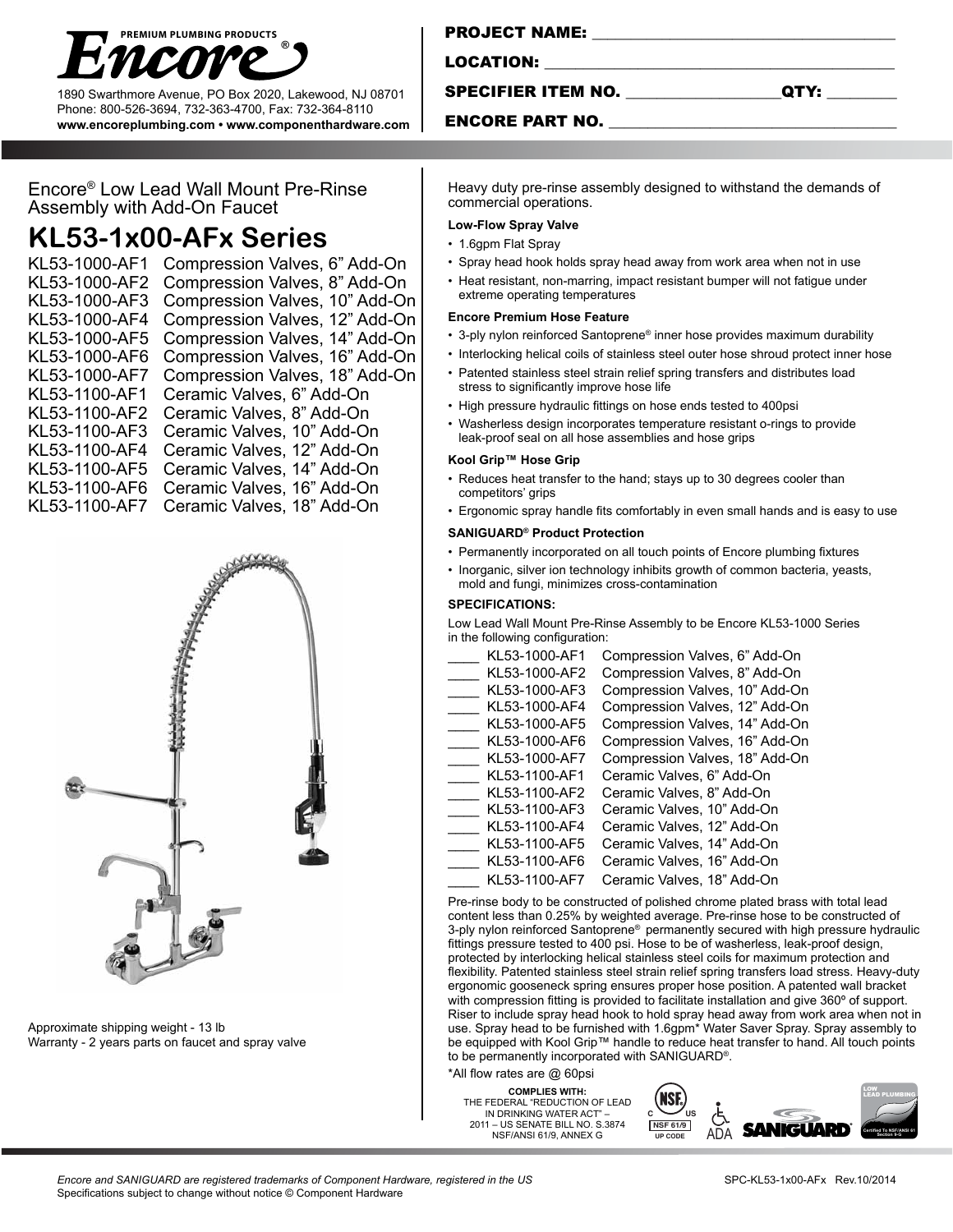

1890 Swarthmore Avenue, PO Box 2020, Lakewood, NJ 08701 Phone: 800-526-3694, 732-363-4700, Fax: 732-364-8110 **www.encoreplumbing.com • www.componenthardware.com**

| FRUJEVI NAME:    |  |
|------------------|--|
|                  |  |
| <b>LOCATION:</b> |  |
|                  |  |

SPECIFIER ITEM NO.

 $\mathsf{P}$  ical me.

| ۰, |
|----|
|----|

#### ENCORE PART NO.

Encore® Low Lead Wall Mount Pre-Rinse Assembly with Add-On Faucet

# **KL53-1x00-AFx Series**

KL53-1000-AF1 Compression Valves, 6" Add-On KL53-1000-AF2 Compression Valves, 8" Add-On KL53-1000-AF3 Compression Valves, 10" Add-On KL53-1000-AF4 Compression Valves, 12" Add-On KL53-1000-AF5 Compression Valves, 14" Add-On KL53-1000-AF6 Compression Valves, 16" Add-On KL53-1000-AF7 Compression Valves, 18" Add-On KL53-1100-AF1 Ceramic Valves, 6" Add-On KL53-1100-AF2 Ceramic Valves, 8" Add-On KL53-1100-AF3 Ceramic Valves, 10" Add-On KL53-1100-AF4 Ceramic Valves, 12" Add-On KL53-1100-AF5 Ceramic Valves, 14" Add-On KL53-1100-AF6 Ceramic Valves, 16" Add-On KL53-1100-AF7 Ceramic Valves, 18" Add-On



Approximate shipping weight - 13 lb Warranty - 2 years parts on faucet and spray valve Heavy duty pre-rinse assembly designed to withstand the demands of commercial operations.

### **Low-Flow Spray Valve**

- 1.6gpm Flat Spray
- Spray head hook holds spray head away from work area when not in use
- Heat resistant, non-marring, impact resistant bumper will not fatigue under extreme operating temperatures

#### **Encore Premium Hose Feature**

- 3-ply nylon reinforced Santoprene® inner hose provides maximum durability
- Interlocking helical coils of stainless steel outer hose shroud protect inner hose
- Patented stainless steel strain relief spring transfers and distributes load stress to significantly improve hose life
- High pressure hydraulic fittings on hose ends tested to 400psi
- Washerless design incorporates temperature resistant o-rings to provide leak-proof seal on all hose assemblies and hose grips

#### **Kool Grip™ Hose Grip**

- Reduces heat transfer to the hand; stays up to 30 degrees cooler than competitors' grips
- Ergonomic spray handle fits comfortably in even small hands and is easy to use

#### **SANIGUARD® Product Protection**

- Permanently incorporated on all touch points of Encore plumbing fixtures
- Inorganic, silver ion technology inhibits growth of common bacteria, yeasts, mold and fungi, minimizes cross-contamination

#### **SPECIFICATIONS:**

Low Lead Wall Mount Pre-Rinse Assembly to be Encore KL53-1000 Series in the following configuration:

| KL53-1000-AF1 | Compression Valves, 6" Add-On  |
|---------------|--------------------------------|
| KL53-1000-AF2 | Compression Valves, 8" Add-On  |
| KL53-1000-AF3 | Compression Valves, 10" Add-On |
| KL53-1000-AF4 | Compression Valves, 12" Add-On |
| KL53-1000-AF5 | Compression Valves, 14" Add-On |
| KL53-1000-AF6 | Compression Valves, 16" Add-On |
| KL53-1000-AF7 | Compression Valves, 18" Add-On |
| KL53-1100-AF1 | Ceramic Valves, 6" Add-On      |
| KL53-1100-AF2 | Ceramic Valves, 8" Add-On      |
| KL53-1100-AF3 | Ceramic Valves, 10" Add-On     |
| KL53-1100-AF4 | Ceramic Valves, 12" Add-On     |
| KL53-1100-AF5 | Ceramic Valves, 14" Add-On     |
| KL53-1100-AF6 | Ceramic Valves, 16" Add-On     |
| KL53-1100-AF7 | Ceramic Valves, 18" Add-On     |

Pre-rinse body to be constructed of polished chrome plated brass with total lead content less than 0.25% by weighted average. Pre-rinse hose to be constructed of 3-ply nylon reinforced Santoprene® permanently secured with high pressure hydraulic fittings pressure tested to 400 psi. Hose to be of washerless, leak-proof design, protected by interlocking helical stainless steel coils for maximum protection and flexibility. Patented stainless steel strain relief spring transfers load stress. Heavy-duty ergonomic gooseneck spring ensures proper hose position. A patented wall bracket with compression fitting is provided to facilitate installation and give 360º of support. Riser to include spray head hook to hold spray head away from work area when not in use. Spray head to be furnished with 1.6gpm<sup>\*</sup> Water Saver Spray. Spray assembly to be equipped with Kool Grip™ handle to reduce heat transfer to hand. All touch points to be permanently incorporated with SANIGUARD®.

\*All flow rates are @ 60psi